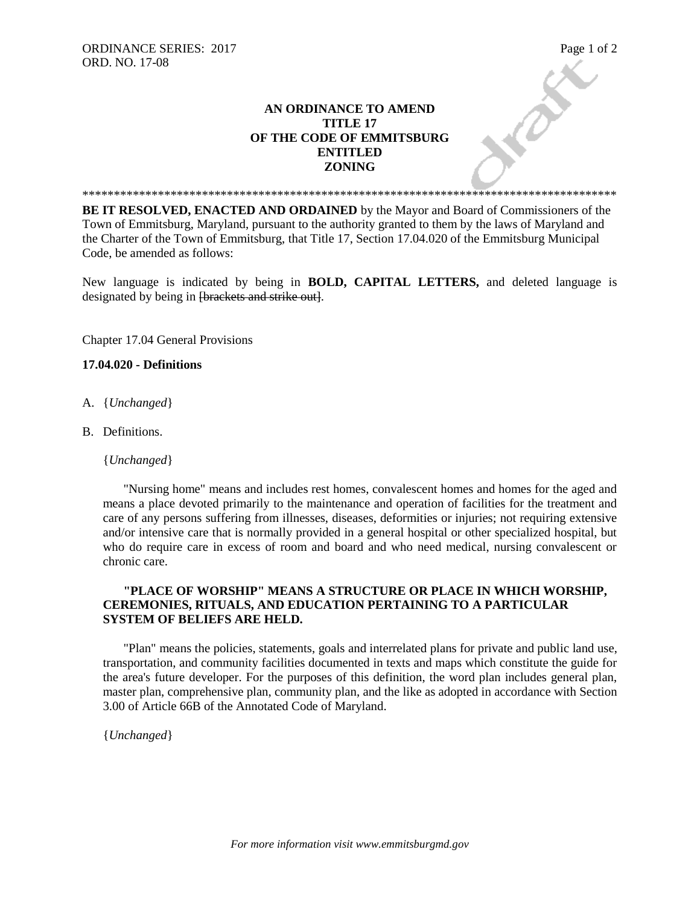## **AN ORDINANCE TO AMEND TITLE 17 OF THE CODE OF EMMITSBURG ENTITLED ZONING**

**BE IT RESOLVED, ENACTED AND ORDAINED** by the Mayor and Board of Commissioners of the Town of Emmitsburg, Maryland, pursuant to the authority granted to them by the laws of Maryland and the Charter of the Town of Emmitsburg, that Title 17, Section 17.04.020 of the Emmitsburg Municipal Code, be amended as follows:

\*\*\*\*\*\*\*\*\*\*\*\*\*\*\*\*\*\*\*\*\*\*\*\*\*\*\*\*\*\*\*\*\*\*\*\*\*\*\*\*\*\*\*\*\*\*\*\*\*\*\*\*\*\*\*\*\*\*\*\*\*\*\*\*\*\*\*\*\*\*\*\*\*\*\*\*\*\*\*\*\*\*\*\*\*

New language is indicated by being in **BOLD, CAPITAL LETTERS,** and deleted language is designated by being in <del>[brackets and strike out]</del>.

Chapter 17.04 General Provisions

## **17.04.020 - Definitions**

- A. {*Unchanged*}
- B. Definitions.

{*Unchanged*}

"Nursing home" means and includes rest homes, convalescent homes and homes for the aged and means a place devoted primarily to the maintenance and operation of facilities for the treatment and care of any persons suffering from illnesses, diseases, deformities or injuries; not requiring extensive and/or intensive care that is normally provided in a general hospital or other specialized hospital, but who do require care in excess of room and board and who need medical, nursing convalescent or chronic care.

## **"PLACE OF WORSHIP" MEANS A STRUCTURE OR PLACE IN WHICH WORSHIP, CEREMONIES, RITUALS, AND EDUCATION PERTAINING TO A PARTICULAR SYSTEM OF BELIEFS ARE HELD.**

"Plan" means the policies, statements, goals and interrelated plans for private and public land use, transportation, and community facilities documented in texts and maps which constitute the guide for the area's future developer. For the purposes of this definition, the word plan includes general plan, master plan, comprehensive plan, community plan, and the like as adopted in accordance with Section 3.00 of Article 66B of the Annotated Code of Maryland.

{*Unchanged*}